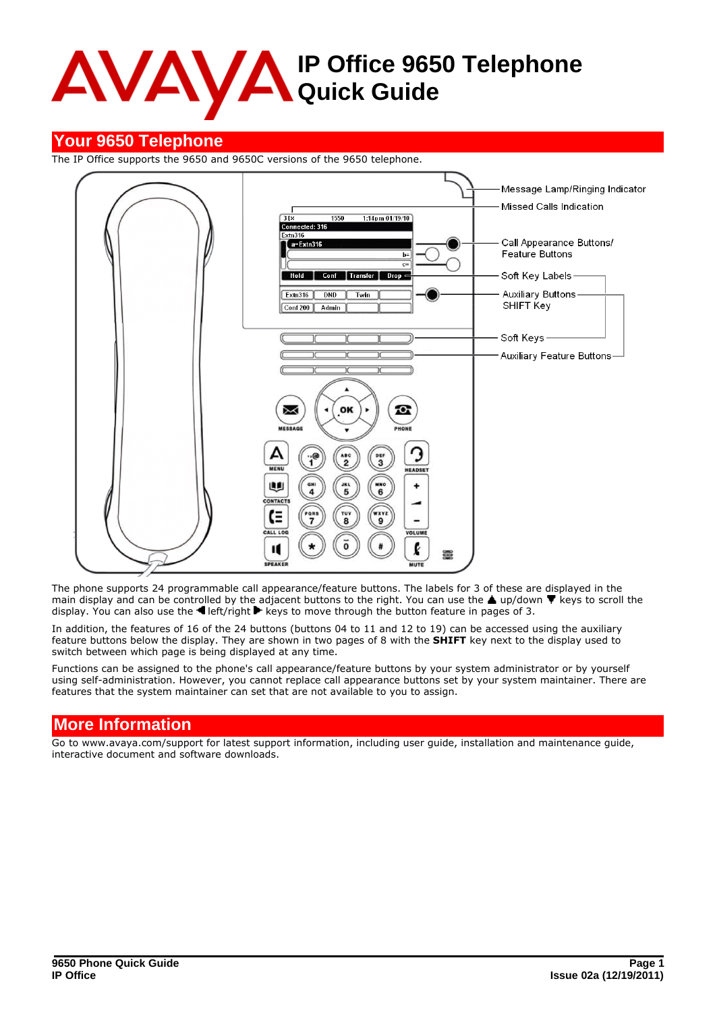# **IP Office 9650 Telephone Quick Guide**

# **Your 9650 Telephone**

The IP Office supports the 9650 and 9650C versions of the 9650 telephone.



The phone supports 24 programmable call appearance/feature buttons. The labels for 3 of these are displayed in the main display and can be controlled by the adjacent buttons to the right. You can use the  $\blacktriangle$  up/down  $\blacktriangledown$  keys to scroll the display. You can also use the  $\P$  left/right  $\blacktriangleright$  keys to move through the button feature in pages of 3.

In addition, the features of 16 of the 24 buttons (buttons 04 to 11 and 12 to 19) can be accessed using the auxiliary feature buttons below the display. They are shown in two pages of 8 with the **SHIFT** key next to the display used to switch between which page is being displayed at any time.

Functions can be assigned to the phone's call appearance/feature buttons by your system administrator or by yourself using self-administration. However, you cannot replace call appearance buttons set by your system maintainer. There are features that the system maintainer can set that are not available to you to assign.

# **More Information**

Go to www.avaya.com/support for latest support information, including user guide, installation and maintenance guide, interactive document and software downloads.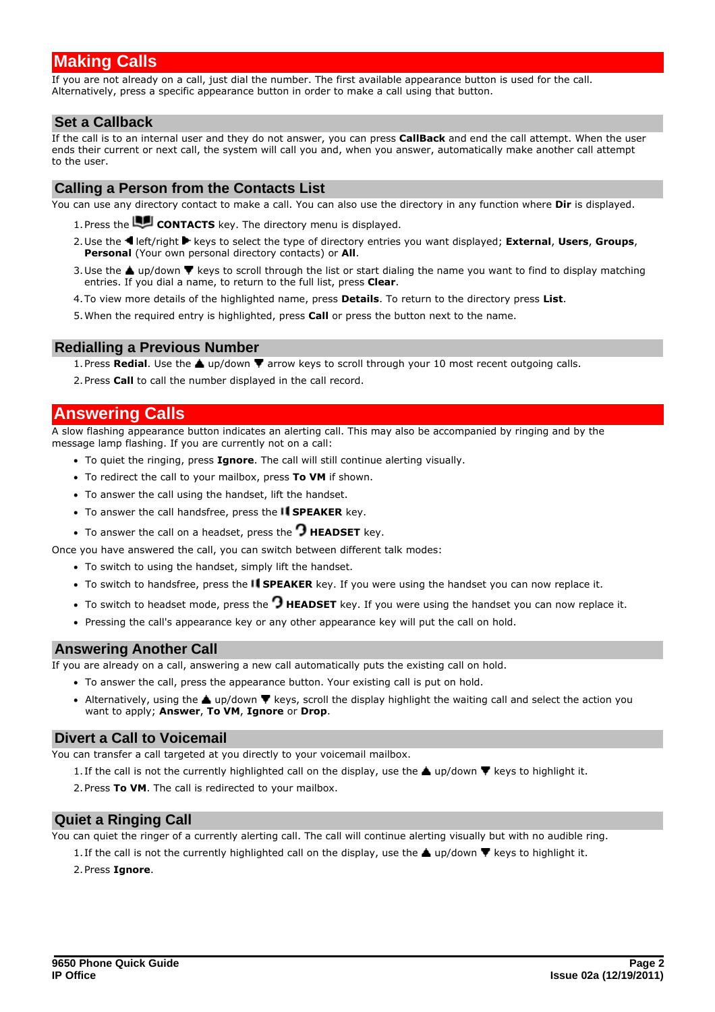# **Making Calls**

If you are not already on a call, just dial the number. The first available appearance button is used for the call. Alternatively, press a specific appearance button in order to make a call using that button.

## **Set a Callback**

If the call is to an internal user and they do not answer, you can press **CallBack** and end the call attempt. When the user ends their current or next call, the system will call you and, when you answer, automatically make another call attempt to the user.

## **Calling a Person from the Contacts List**

You can use any directory contact to make a call. You can also use the directory in any function where **Dir** is displayed.

- 1. Press the **LU CONTACTS** key. The directory menu is displayed.
- 2.Use the left/right keys to select the type of directory entries you want displayed; **External**, **Users**, **Groups**, **Personal** (Your own personal directory contacts) or **All**.<br>3. Use the **A** up/down **V** keys to scroll through the list or start dialing the name you want to find to display matching
- entries. If you dial a name, to return to the full list, press **Clear**.
- 4.To view more details of the highlighted name, press **Details**. To return to the directory press **List**.
- 5.When the required entry is highlighted, press **Call** or press the button next to the name.

### **Redialling a Previous Number**

- 1. Press **Redial**. Use the **A** up/down **V** arrow keys to scroll through your 10 most recent outgoing calls.
- 2.Press **Call** to call the number displayed in the call record.

## **Answering Calls**

A slow flashing appearance button indicates an alerting call. This may also be accompanied by ringing and by the message lamp flashing. If you are currently not on a call:

- · To quiet the ringing, press **Ignore**. The call will still continue alerting visually.
- · To redirect the call to your mailbox, press **To VM** if shown.
- · To answer the call using the handset, lift the handset.
- To answer the call handsfree, press the **II SPEAKER** key.
- To answer the call on a headset, press the **C HEADSET** key.

Once you have answered the call, you can switch between different talk modes:

- · To switch to using the handset, simply lift the handset.
- · To switch to handsfree, press the **SPEAKER** key. If you were using the handset you can now replace it.
- · To switch to headset mode, press the **HEADSET** key. If you were using the handset you can now replace it.
- · Pressing the call's appearance key or any other appearance key will put the call on hold.

## **Answering Another Call**

If you are already on a call, answering a new call automatically puts the existing call on hold.

- · To answer the call, press the appearance button. Your existing call is put on hold.
- Alternatively, using the *Lup/down*  $\P$  keys, scroll the display highlight the waiting call and select the action you want to apply; **Answer**, **To VM**, **Ignore** or **Drop**.

## **Divert a Call to Voicemail**

You can transfer a call targeted at you directly to your voicemail mailbox.

- 1. If the call is not the currently highlighted call on the display, use the  $\triangle$  up/down  $\nabla$  keys to highlight it.
- 2.Press **To VM**. The call is redirected to your mailbox.

## **Quiet a Ringing Call**

You can quiet the ringer of a currently alerting call. The call will continue alerting visually but with no audible ring.

1. If the call is not the currently highlighted call on the display, use the  $\triangle$  up/down  $\nabla$  keys to highlight it.

### 2.Press **Ignore**.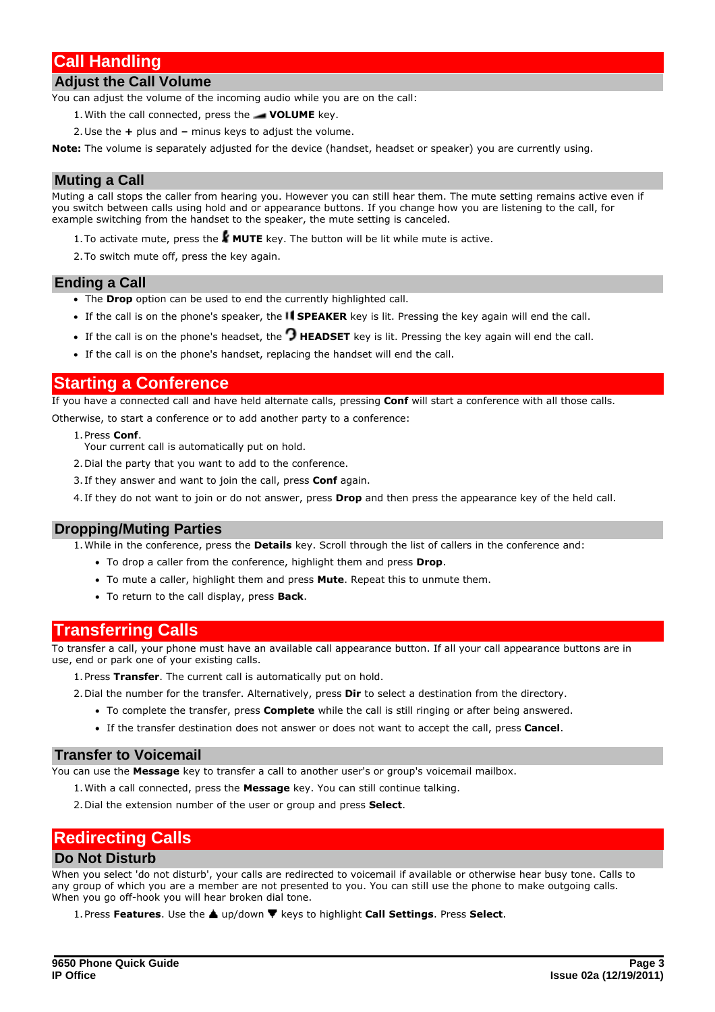# **Call Handling**

## **Adjust the Call Volume**

You can adjust the volume of the incoming audio while you are on the call:

- 1.With the call connected, press the **VOLUME** key.
- 2.Use the **+** plus and **–** minus keys to adjust the volume.

**Note:** The volume is separately adjusted for the device (handset, headset or speaker) you are currently using.

## **Muting a Call**

Muting a call stops the caller from hearing you. However you can still hear them. The mute setting remains active even if you switch between calls using hold and or appearance buttons. If you change how you are listening to the call, for example switching from the handset to the speaker, the mute setting is canceled.

- 1. To activate mute, press the  $\mathbf{F}$  **MUTE** key. The button will be lit while mute is active.
- 2.To switch mute off, press the key again.

### **Ending a Call**

- · The **Drop** option can be used to end the currently highlighted call.
- If the call is on the phone's speaker, the **I SPEAKER** key is lit. Pressing the key again will end the call.
- If the call is on the phone's headset, the  $\Omega$  HEADSET key is lit. Pressing the key again will end the call.
- · If the call is on the phone's handset, replacing the handset will end the call.

## **Starting a Conference**

If you have a connected call and have held alternate calls, pressing **Conf** will start a conference with all those calls.

Otherwise, to start a conference or to add another party to a conference:

- 
- 1.Press **Conf**. Your current call is automatically put on hold.
- 2.Dial the party that you want to add to the conference.
- 3. If they answer and want to join the call, press **Conf** again.
- 4. If they do not want to join or do not answer, press **Drop** and then press the appearance key of the held call.

### **Dropping/Muting Parties**

1.While in the conference, press the **Details** key. Scroll through the list of callers in the conference and:

- · To drop a caller from the conference, highlight them and press **Drop**.
- · To mute a caller, highlight them and press **Mute**. Repeat this to unmute them.
- · To return to the call display, press **Back**.

## **Transferring Calls**

To transfer a call, your phone must have an available call appearance button. If all your call appearance buttons are in use, end or park one of your existing calls.

1.Press **Transfer**. The current call is automatically put on hold.

- 2.Dial the number for the transfer. Alternatively, press **Dir** to select a destination from the directory.
	- · To complete the transfer, press **Complete** while the call is still ringing or after being answered.
		- · If the transfer destination does not answer or does not want to accept the call, press **Cancel**.

## **Transfer to Voicemail**

You can use the **Message** key to transfer a call to another user's or group's voicemail mailbox.

- 1.With a call connected, press the **Message** key. You can still continue talking.
- 2.Dial the extension number of the user or group and press **Select**.

## **Redirecting Calls**

#### **Do Not Disturb**

When you select 'do not disturb', your calls are redirected to voicemail if available or otherwise hear busy tone. Calls to any group of which you are a member are not presented to you. You can still use the phone to make outgoing calls. When you go off-hook you will hear broken dial tone.

1. Press **Features**. Use the **A** up/down  $\Psi$  keys to highlight **Call Settings**. Press **Select**.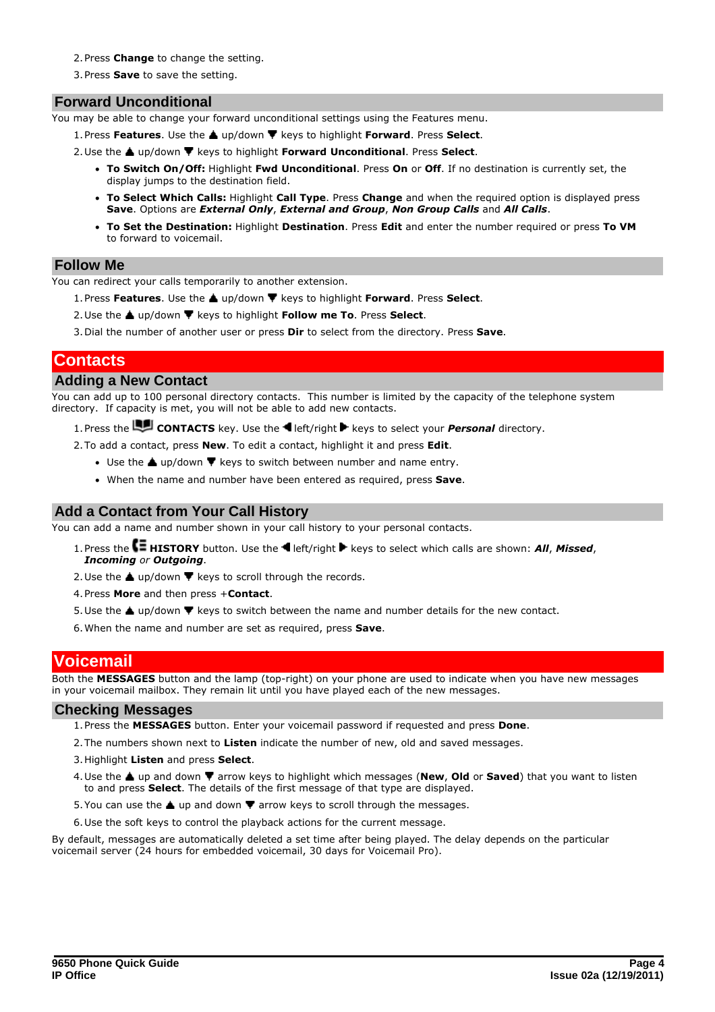- 2.Press **Change** to change the setting.
- 3.Press **Save** to save the setting.

## **Forward Unconditional**

You may be able to change your forward unconditional settings using the Features menu.

- 1.Press **Features**. Use the up/down keys to highlight **Forward**. Press **Select**. 2.Use the up/down keys to highlight **Forward Unconditional**. Press **Select**.
- - · **To Switch On/Off:** Highlight **Fwd Unconditional**. Press **On** or **Off**. If no destination is currently set, the display jumps to the destination field.
	- · **To Select Which Calls:** Highlight **Call Type**. Press **Change** and when the required option is displayed press **Save**. Options are *External Only*, *External and Group*, *Non Group Calls* and *All Calls*.
	- · **To Set the Destination:** Highlight **Destination**. Press **Edit** and enter the number required or press **To VM** to forward to voicemail.

### **Follow Me**

You can redirect your calls temporarily to another extension.

- 1. Press **Features**. Use the ▲ up/down ▼ keys to highlight **Forward**. Press Select.
- 2. Use the ▲ up/down ▼ keys to highlight **Follow me To**. Press Select.
- 3.Dial the number of another user or press **Dir** to select from the directory. Press **Save**.

## **Contacts**

## **Adding a New Contact**

You can add up to 100 personal directory contacts. This number is limited by the capacity of the telephone system directory. If capacity is met, you will not be able to add new contacts.

1. Press the **LE CONTACTS** key. Use the **I** left/right **F** keys to select your **Personal** directory.

2.To add a contact, press **New**. To edit a contact, highlight it and press **Edit**.

- Use the  $\triangle$  up/down  $\nabla$  keys to switch between number and name entry.
- · When the name and number have been entered as required, press **Save**.

## **Add a Contact from Your Call History**

You can add a name and number shown in your call history to your personal contacts.

- 1. Press the **CE HISTORY** button. Use the **H** left/right **F** keys to select which calls are shown: *All*, *Missed*, *Incoming or Outgoing*.
- *I*. Use the ▲ up/down ▼ keys to scroll through the records.
- 
- 4. Press **More** and then press + **Contact**.<br>5. Use the ▲ up/down ▼ keys to switch between the name and number details for the new contact.
- 6.When the name and number are set as required, press **Save**.

## **Voicemail**

Both the **MESSAGES** button and the lamp (top-right) on your phone are used to indicate when you have new messages in your voicemail mailbox. They remain lit until you have played each of the new messages.

### **Checking Messages**

- 1.Press the **MESSAGES** button. Enter your voicemail password if requested and press **Done**.
- 2.The numbers shown next to **Listen** indicate the number of new, old and saved messages.
- 3.Highlight **Listen** and press **Select**.
- 4. Use the ▲ up and down ▼ arrow keys to highlight which messages (New, Old or Saved) that you want to listen to and press **Select**. The details of the first message of that type are displayed.
- 5. You can use the  $\triangle$  up and down  $\nabla$  arrow keys to scroll through the messages.
- 6.Use the soft keys to control the playback actions for the current message.

By default, messages are automatically deleted a set time after being played. The delay depends on the particular voicemail server (24 hours for embedded voicemail, 30 days for Voicemail Pro).